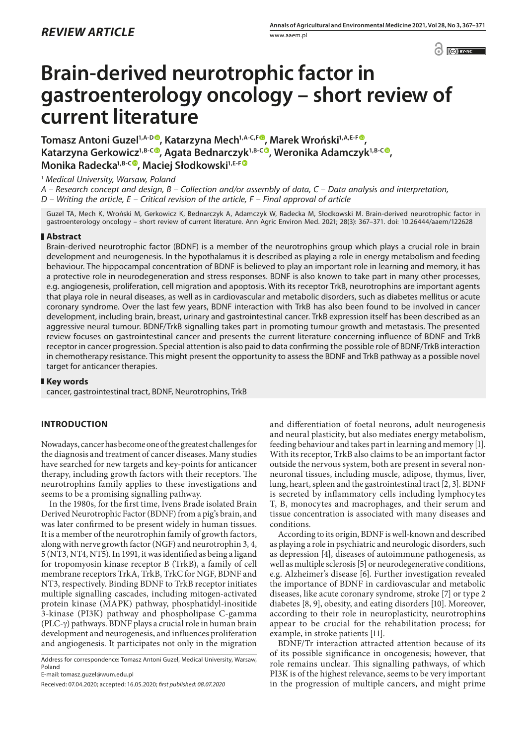$\bigcirc$   $\bigcirc$   $BYNC$ 

# **Brain-derived neurotrophic factor in gastroenterology oncology – short review of current literature**

**Tomasz Antoni Guzel1,A-D , Katarzyna Mech1,A-C,F , Marek Wroński1,A,E-[F](https://orcid.org/0000-0003-0941-4202) , Katarzyna Gerkowicz1,B-C [,](https://orcid.org/0000-0002-8880-9351) Agata Bednarczyk1,B-[C](https://orcid.org/0000-0001-9779-7631) , Weronika Adamczyk1,B-C , Monika Radecka1,B-C [,](https://orcid.org/0000-0002-9041-8958) Maciej Słodkowski1,E-[F](https://orcid.org/0000-0002-3881-5753)**

<sup>1</sup> *Medical University, Warsaw, Poland*

*A – Research concept and design, B – Collection and/or assembly of data, C – Data analysis and interpretation,* 

*D – Writing the article, E – Critical revision of the article, F – Final approval of article*

Guzel TA, Mech K, Wroński M, Gerkowicz K, Bednarczyk A, Adamczyk W, Radecka M, Słodkowski M. Brain-derived neurotrophic factor in gastroenterology oncology – short review of current literature. Ann Agric Environ Med. 2021; 28(3): 367–371. doi: 10.26444/aaem/122628

## **Abstract**

Brain-derived neurotrophic factor (BDNF) is a member of the neurotrophins group which plays a crucial role in brain development and neurogenesis. In the hypothalamus it is described as playing a role in energy metabolism and feeding behaviour. The hippocampal concentration of BDNF is believed to play an important role in learning and memory, it has a protective role in neurodegeneration and stress responses. BDNF is also known to take part in many other processes, e.g. angiogenesis, proliferation, cell migration and apoptosis. With its receptor TrkB, neurotrophins are important agents that playa role in neural diseases, as well as in cardiovascular and metabolic disorders, such as diabetes mellitus or acute coronary syndrome. Over the last few years, BDNF interaction with TrkB has also been found to be involved in cancer development, including brain, breast, urinary and gastrointestinal cancer. TrkB expression itself has been described as an aggressive neural tumour. BDNF/TrkB signalling takes part in promoting tumour growth and metastasis. The presented review focuses on gastrointestinal cancer and presents the current literature concerning influence of BDNF and TrkB receptor in cancer progression. Special attention is also paid to data confirming the possible role of BDNF/TrkB interaction in chemotherapy resistance. This might present the opportunity to assess the BDNF and TrkB pathway as a possible novel target for anticancer therapies.

### **Key words**

cancer, gastrointestinal tract, BDNF, Neurotrophins, TrkB

# **INTRODUCTION**

Nowadays, cancer has become one of the greatest challenges for the diagnosis and treatment of cancer diseases. Many studies have searched for new targets and key-points for anticancer therapy, including growth factors with their receptors. The neurotrophins family applies to these investigations and seems to be a promising signalling pathway.

In the 1980s, for the first time, Ivens Brade isolated Brain Derived Neurotrophic Factor (BDNF) from a pig's brain, and was later confirmed to be present widely in human tissues. It is a member of the neurotrophin family of growth factors, along with nerve growth factor (NGF) and neurotrophin 3, 4, 5 (NT3, NT4, NT5). In 1991, it was identified as being a ligand for tropomyosin kinase receptor B (TrkB), a family of cell membrane receptors TrkA, TrkB, TrkC for NGF, BDNF and NT3, respectively. Binding BDNF to TrkB receptor initiates multiple signalling cascades, including mitogen-activated protein kinase (MAPK) pathway, phosphatidyl-inositide 3-kinase (PI3K) pathway and phospholipase C-gamma (PLC-g) pathways. BDNF plays a crucial role in human brain development and neurogenesis, and influences proliferation and angiogenesis. It participates not only in the migration

E-mail: tomasz.guzel@wum.edu.pl

and differentiation of foetal neurons, adult neurogenesis and neural plasticity, but also mediates energy metabolism, feeding behaviour and takes part in learning and memory [1]. With its receptor, TrkB also claims to be an important factor outside the nervous system, both are present in several nonneuronal tissues, including muscle, adipose, thymus, liver, lung, heart, spleen and the gastrointestinal tract [2, 3]. BDNF is secreted by inflammatory cells including lymphocytes T, B, monocytes and macrophages, and their serum and tissue concentration is associated with many diseases and conditions.

According to its origin, BDNF is well-known and described as playing a role in psychiatric and neurologic disorders, such as depression [4], diseases of autoimmune pathogenesis, as well as multiple sclerosis [5] or neurodegenerative conditions, e.g. Alzheimer's disease [6]. Further investigation revealed the importance of BDNF in cardiovascular and metabolic diseases, like acute coronary syndrome, stroke [7] or type 2 diabetes [8, 9], obesity, and eating disorders [10]. Moreover, according to their role in neuroplasticity, neurotrophin**s** appear to be crucial for the rehabilitation process; for example, in stroke patients [11].

BDNF/Tr interaction attracted attention because of its of its possible significance in oncogenesis; however, that role remains unclear. This signalling pathways, of which PI3K is of the highest relevance, seems to be very important in the progression of multiple cancers, and might prime

Address for correspondence: Tomasz Antoni Guzel, Medical University, Warsaw, Poland

Received: 07.04.2020; accepted: 16.05.2020; *first published: 08.07.2020*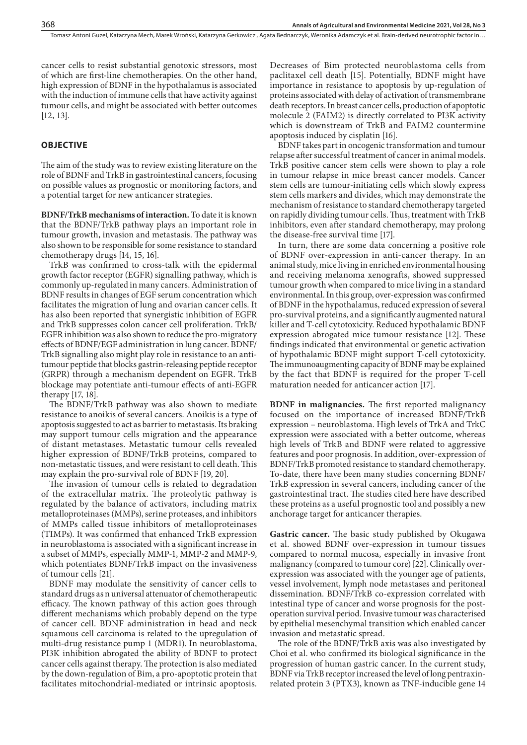cancer cells to resist substantial genotoxic stressors, most of which are first-line chemotherapies. On the other hand, high expression of BDNF in the hypothalamus is associated with the induction of immune cells that have activity against tumour cells, and might be associated with better outcomes [12, 13].

## **OBJECTIVE**

The aim of the study was to review existing literature on the role of BDNF and TrkB in gastrointestinal cancers, focusing on possible values as prognostic or monitoring factors, and a potential target for new anticancer strategies.

**BDNF/TrkB mechanisms of interaction.** To date it is known that the BDNF/TrkB pathway plays an important role in tumour growth, invasion and metastasis. The pathway was also shown to be responsible for some resistance to standard chemotherapy drugs [14, 15, 16].

TrkB was confirmed to cross-talk with the epidermal growth factor receptor (EGFR) signalling pathway, which is commonly up-regulated in many cancers. Administration of BDNF results in changes of EGF serum concentration which facilitates the migration of lung and ovarian cancer cells. It has also been reported that synergistic inhibition of EGFR and TrkB suppresses colon cancer cell proliferation. TrkB/ EGFR inhibition was also shown to reduce the pro-migratory effects of BDNF/EGF administration in lung cancer. BDNF/ TrkB signalling also might play role in resistance to an antitumour peptide that blocks gastrin-releasing peptide receptor (GRPR) through a mechanism dependent on EGFR. TrkB blockage may potentiate anti-tumour effects of anti-EGFR therapy [17, 18].

The BDNF/TrkB pathway was also shown to mediate resistance to anoikis of several cancers. Anoikis is a type of apoptosis suggested to act as barrier to metastasis. Its braking may support tumour cells migration and the appearance of distant metastases. Metastatic tumour cells revealed higher expression of BDNF/TrkB proteins, compared to non-metastatic tissues, and were resistant to cell death. This may explain the pro-survival role of BDNF [19, 20].

The invasion of tumour cells is related to degradation of the extracellular matrix. The proteolytic pathway is regulated by the balance of activators, including matrix metalloproteinases (MMPs), serine proteases, and inhibitors of MMPs called tissue inhibitors of metalloproteinases (TIMPs). It was confirmed that enhanced TrkB expression in neuroblastoma is associated with a significant increase in a subset of MMPs, especially MMP-1, MMP-2 and MMP-9, which potentiates BDNF/TrkB impact on the invasiveness of tumour cells [21].

BDNF may modulate the sensitivity of cancer cells to standard drugs as n universal attenuator of chemotherapeutic efficacy. The known pathway of this action goes through different mechanisms which probably depend on the type of cancer cell. BDNF administration in head and neck squamous cell carcinoma is related to the upregulation of multi-drug resistance pump 1 (MDR1). In neuroblastoma, PI3K inhibition abrogated the ability of BDNF to protect cancer cells against therapy. The protection is also mediated by the down-regulation of Bim, a pro-apoptotic protein that facilitates mitochondrial-mediated or intrinsic apoptosis.

Decreases of Bim protected neuroblastoma cells from paclitaxel cell death [15]. Potentially, BDNF might have importance in resistance to apoptosis by up-regulation of proteins associated with delay of activation of transmembrane death receptors. In breast cancer cells, production of apoptotic molecule 2 (FAIM2) is directly correlated to PI3K activity which is downstream of TrkB and FAIM2 countermine apoptosis induced by cisplatin [16].

BDNF takes part in oncogenic transformation and tumour relapse after successful treatment of cancer in animal models. TrkB positive cancer stem cells were shown to play a role in tumour relapse in mice breast cancer models. Cancer stem cells are tumour-initiating cells which slowly express stem cells markers and divides, which may demonstrate the mechanism of resistance to standard chemotherapy targeted on rapidly dividing tumour cells. Thus, treatment with TrkB inhibitors, even after standard chemotherapy, may prolong the disease-free survival time [17].

In turn, there are some data concerning a positive role of BDNF over-expression in anti-cancer therapy. In an animal study, mice living in enriched environmental housing and receiving melanoma xenografts, showed suppressed tumour growth when compared to mice living in a standard environmental. In this group, over-expression was confirmed of BDNF in the hypothalamus, reduced expression of several pro-survival proteins, and a significantly augmented natural killer and T-cell cytotoxicity. Reduced hypothalamic BDNF expression abrogated mice tumour resistance [12]. These findings indicated that environmental or genetic activation of hypothalamic BDNF might support T-cell cytotoxicity. The immunoaugmenting capacity of BDNF may be explained by the fact that BDNF is required for the proper T-cell maturation needed for anticancer action [17].

**BDNF in malignancies.** The first reported malignancy focused on the importance of increased BDNF/TrkB expression – neuroblastoma. High levels of TrkA and TrkC expression were associated with a better outcome, whereas high levels of TrkB and BDNF were related to aggressive features and poor prognosis. In addition, over-expression of BDNF/TrkB promoted resistance to standard chemotherapy. To-date, there have been many studies concerning BDNF/ TrkB expression in several cancers, including cancer of the gastrointestinal tract. The studies cited here have described these proteins as a useful prognostic tool and possibly a new anchorage target for anticancer therapies.

**Gastric cancer.** The basic study published by Okugawa et al. showed BDNF over-expression in tumour tissues compared to normal mucosa, especially in invasive front malignancy (compared to tumour core) [22]. Clinically overexpression was associated with the younger age of patients, vessel involvement, lymph node metastases and peritoneal dissemination. BDNF/TrkB co-expression correlated with intestinal type of cancer and worse prognosis for the postoperation survival period. Invasive tumour was characterised by epithelial mesenchymal transition which enabled cancer invasion and metastatic spread.

The role of the BDNF/TrkB axis was also investigated by Choi et al. who confirmed its biological significance in the progression of human gastric cancer. In the current study, BDNF via TrkB receptor increased the level of long pentraxinrelated protein 3 (PTX3), known as TNF-inducible gene 14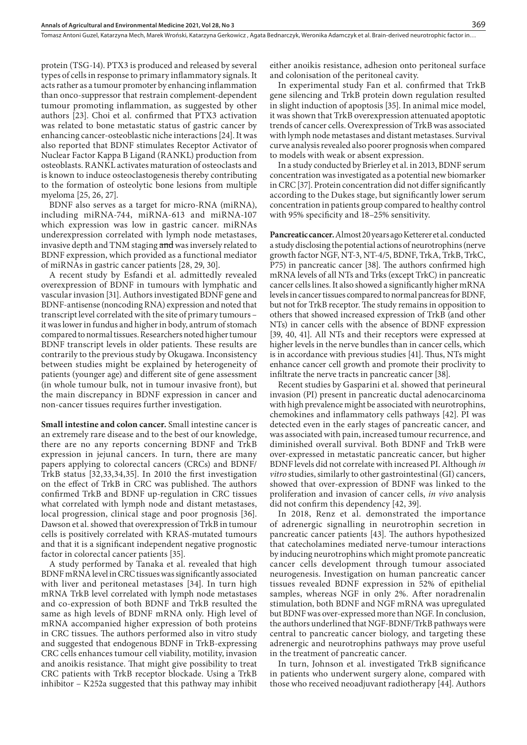protein (TSG-14). PTX3 is produced and released by several types of cells in response to primary inflammatory signals. It acts rather as a tumour promoter by enhancing inflammation than onco-suppressor that restrain complement-dependent tumour promoting inflammation, as suggested by other authors [23]. Choi et al. confirmed that PTX3 activation was related to bone metastatic status of gastric cancer by enhancing cancer-osteoblastic niche interactions [24]. It was also reported that BDNF stimulates Receptor Activator of Nuclear Factor Kappa B Ligand (RANKL) production from osteoblasts. RANKL activates maturation of osteoclasts and is known to induce osteoclastogenesis thereby contributing to the formation of osteolytic bone lesions from multiple myeloma [25, 26, 27].

BDNF also serves as a target for micro-RNA (miRNA), including miRNA-744, miRNA-613 and miRNA-107 which expression was low in gastric cancer. miRNAs underexpression correlated with lymph node metastases, invasive depth and TNM staging and was inversely related to BDNF expression, which provided as a functional mediator of miRNAs in gastric cancer patients [28, 29, 30].

A recent study by Esfandi et al. admittedly revealed overexpression of BDNF in tumours with lymphatic and vascular invasion [31]. Authors investigated BDNF gene and BDNF-antisense (noncoding RNA) expression and noted that transcript level correlated with the site of primary tumours – it was lower in fundus and higher in body, antrum of stomach compared to normal tissues. Researchers noted higher tumour BDNF transcript levels in older patients. These results are contrarily to the previous study by Okugawa. Inconsistency between studies might be explained by heterogeneity of patients (younger age) and different site of gene assessment (in whole tumour bulk, not in tumour invasive front), but the main discrepancy in BDNF expression in cancer and non-cancer tissues requires further investigation.

**Small intestine and colon cancer.** Small intestine cancer is an extremely rare disease and to the best of our knowledge, there are no any reports concerning BDNF and TrkB expression in jejunal cancers. In turn, there are many papers applying to colorectal cancers (CRCs) and BDNF/ TrkB status [32,33,34,35]. In 2010 the first investigation on the effect of TrkB in CRC was published. The authors confirmed TrkB and BDNF up-regulation in CRC tissues what correlated with lymph node and distant metastases, local progression, clinical stage and poor prognosis [36]. Dawson et al. showed that overexpression of TrkB in tumour cells is positively correlated with KRAS-mutated tumours and that it is a significant independent negative prognostic factor in colorectal cancer patients [35].

A study performed by Tanaka et al. revealed that high BDNF mRNA level in CRC tissues was significantly associated with liver and peritoneal metastases [34]. In turn high mRNA TrkB level correlated with lymph node metastases and co-expression of both BDNF and TrkB resulted the same as high levels of BDNF mRNA only. High level of mRNA accompanied higher expression of both proteins in CRC tissues. The authors performed also in vitro study and suggested that endogenous BDNF in TrkB-expressing CRC cells enhances tumour cell viability, motility, invasion and anoikis resistance. That might give possibility to treat CRC patients with TrkB receptor blockade. Using a TrkB inhibitor – K252a suggested that this pathway may inhibit

either anoikis resistance, adhesion onto peritoneal surface and colonisation of the peritoneal cavity.

In experimental study Fan et al. confirmed that TrkB gene silencing and TrkB protein down regulation resulted in slight induction of apoptosis [35]. In animal mice model, it was shown that TrkB overexpression attenuated apoptotic trends of cancer cells. Overexpression of TrkB was associated with lymph node metastases and distant metastases. Survival curve analysis revealed also poorer prognosis when compared to models with weak or absent expression.

In a study conducted by Brierley et al. in 2013, BDNF serum concentration was investigated as a potential new biomarker in CRC [37]. Protein concentration did not differ significantly according to the Dukes stage, but significantly lower serum concentration in patients group compared to healthy control with 95% specificity and 18–25% sensitivity.

**Pancreatic cancer.** Almost 20 years ago Ketterer et al. conducted a study disclosing the potential actions of neurotrophins (nerve growth factor NGF, NT-3, NT-4/5, BDNF, TrkA, TrkB, TrkC, P75) in pancreatic cancer [38]. The authors confirmed high mRNA levels of all NTs and Trks (except TrkC) in pancreatic cancer cells lines. It also showed a significantly higher mRNA levels in cancer tissues compared to normal pancreas for BDNF, but not for TrkB receptor. The study remains in opposition to others that showed increased expression of TrkB (and other NTs) in cancer cells with the absence of BDNF expression [39, 40, 41]. All NTs and their receptors were expressed at higher levels in the nerve bundles than in cancer cells, which is in accordance with previous studies [41]. Thus, NTs might enhance cancer cell growth and promote their proclivity to infiltrate the nerve tracts in pancreatic cancer [38].

Recent studies by Gasparini et al. showed that perineural invasion (PI) present in pancreatic ductal adenocarcinoma with high prevalence might be associated with neurotrophins, chemokines and inflammatory cells pathways [42]. PI was detected even in the early stages of pancreatic cancer, and was associated with pain, increased tumour recurrence, and diminished overall survival. Both BDNF and TrkB were over-expressed in metastatic pancreatic cancer, but higher BDNF levels did not correlate with increased PI. Although *in vitro* studies, similarly to other gastrointestinal (GI) cancers, showed that over-expression of BDNF was linked to the proliferation and invasion of cancer cells, *in vivo* analysis did not confirm this dependency [42, 39].

In 2018, Renz et al. demonstrated the importance of adrenergic signalling in neurotrophin secretion in pancreatic cancer patients [43]. The authors hypothesized that catecholamines mediated nerve-tumour interactions by inducing neurotrophins which might promote pancreatic cancer cells development through tumour associated neurogenesis. Investigation on human pancreatic cancer tissues revealed BDNF expression in 52% of epithelial samples, whereas NGF in only 2%. After noradrenalin stimulation, both BDNF and NGF mRNA was upregulated but BDNF was over-expressed more than NGF. In conclusion, the authors underlined that NGF-BDNF/TrkB pathways were central to pancreatic cancer biology, and targeting these adrenergic and neurotrophins pathways may prove useful in the treatment of pancreatic cancer.

In turn, Johnson et al. investigated TrkB significance in patients who underwent surgery alone, compared with those who received neoadjuvant radiotherapy [44]. Authors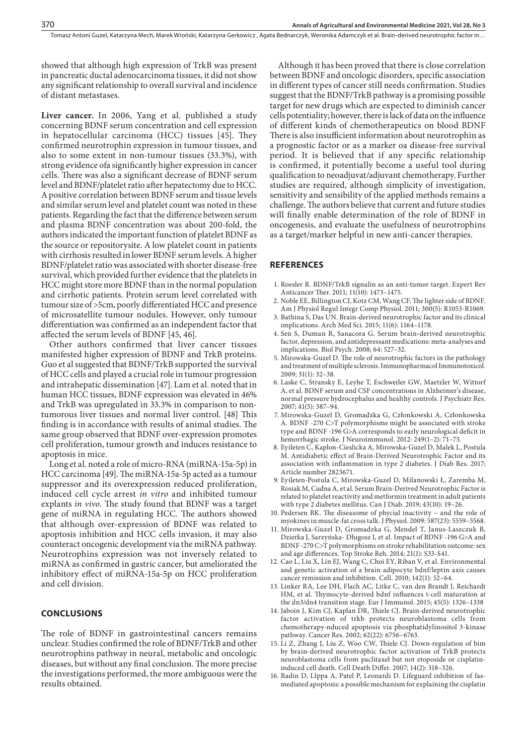showed that although high expression of TrkB was present in pancreatic ductal adenocarcinoma tissues, it did not show any significant relationship to overall survival and incidence of distant metastases.

**Liver cancer.** In 2006, Yang et al. published a study concerning BDNF serum concentration and cell expression in hepatocellular carcinoma (HCC) tissues [45]. They confirmed neurotrophin expression in tumour tissues, and also to some extent in non-tumour tissues (33.3%), with strong evidence ofa significantly higher expression in cancer cells. There was also a significant decrease of BDNF serum level and BDNF/platelet ratio after hepatectomy due to HCC. A positive correlation between BDNF serum and tissue levels and similar serum level and platelet count was noted in these patients. Regarding the fact that the difference between serum and plasma BDNF concentration was about 200-fold, the authors indicated the important function of platelet BDNF as the source or repositorysite. A low platelet count in patients with cirrhosis resulted in lower BDNF serum levels. A higher BDNF/platelet ratio was associated with shorter disease-free survival, which provided further evidence that the platelets in HCC might store more BDNF than in the normal population and cirrhotic patients. Protein serum level correlated with tumour size of >5cm, poorly differentiated HCC and presence of microsatellite tumour nodules. However, only tumour differentiation was confirmed as an independent factor that affected the serum levels of BDNF [45, 46].

Other authors confirmed that liver cancer tissues manifested higher expression of BDNF and TrkB proteins. Guo et al suggested that BDNF/TrkB supported the survival of HCC cells and played a crucial role in tumour progression and intrahepatic dissemination [47]. Lam et al. noted that in human HCC tissues, BDNF expression was elevated in 46% and TrkB was upregulated in 33.3% in comparison to nontumorous liver tissues and normal liver control. [48] This finding is in accordance with results of animal studies. The same group observed that BDNF over-expression promotes cell proliferation, tumour growth and induces resistance to apoptosis in mice.

Long et al. noted a role of micro-RNA (miRNA-15a-5p) in HCC carcinoma [49]. The miRNA-15a-5p acted as a tumour suppressor and its overexpression reduced proliferation, induced cell cycle arrest *in vitro* and inhibited tumour explants *in vivo.* The study found that BDNF was a target gene of miRNA in regulating HCC. The authors showed that although over-expression of BDNF was related to apoptosis inhibition and HCC cells invasion, it may also counteract oncogenic development via the miRNA pathway. Neurotrophins expression was not inversely related to miRNA as confirmed in gastric cancer, but ameliorated the inhibitory effect of miRNA-15a-5p on HCC proliferation and cell division.

# **CONCLUSIONS**

The role of BDNF in gastrointestinal cancers remains unclear. Studies confirmed the role of BDNF/TrkB and other neurotrophins pathway in neural, metabolic and oncologic diseases, but without any final conclusion. The more precise the investigations performed, the more ambiguous were the results obtained.

Although it has been proved that there is close correlation between BDNF and oncologic disorders, specific association in different types of cancer still needs confirmation. Studies suggest that the BDNF/TrkB pathway is a promising possible target for new drugs which are expected to diminish cancer cells potentiality; however, there is lack of data on the influence of different kinds of chemotherapeutics on blood BDNF There is also insufficient information about neurotrophin as a prognostic factor or as a marker oa disease-free survival period. It is believed that if any specific relationship is confirmed, it potentially become a useful tool during qualification to neoadjuvat/adjuvant chemotherapy. Further studies are required, although simplicity of investigation, sensitivity and sensibility of the applied methods remains a challenge. The authors believe that current and future studies will finally enable determination of the role of BDNF in oncogenesis, and evaluate the usefulness of neurotrophins as a target/marker helpful in new anti-cancer therapies.

### **REFERENCES**

- 1. Roesler R. BDNF/TrkB signalin as an anti-tumor target. Expert Rev Anticancer Ther. 2011; 11(10): 1473–1475.
- 2. Noble EE, Billington CJ, Kotz CM, Wang CF. The lighter side of BDNF. Am J Physiol Regul Integr Comp Physiol. 2011; 300(5): R1053-R1069.
- 3. Bathina S, Das UN. Brain-derived neurotrophic factor and its clinical implications. Arch Med Sci. 2015; 11(6): 1164–1178.
- 4. Sen S, Duman R, Sanacora G. Serum brain-derived neurotrophic factor, depression, and antidepressant medications: meta-analyses and implications. Biol Psych. 2008; 64: 527–32.
- 5. Mirowska-Guzel D. The role of neurotrophic factors in the pathology and treatment of multiple sclerosis. Immunopharmacol Immunotoxicol. 2009; 31(1): 32–38.
- 6. Laske C, Stransky E, Leyhe T, Eschweiler GW, Maetzler W, Wittorf A, et al. BDNF serum and CSF concentrations in Alzheimer's disease, normal pressure hydrocephalus and healthy controls. J Psychiatr Res. 2007; 41(5): 387–94.
- 7. Mirowska-Guzel D, Gromadzka G, Członkowski A, Członkowska A. BDNF -270 C>T polymorphisms might be associated with stroke type and BDNF -196 G>A corresponds to early neurological deficit in hemorrhagic stroke. J Neuroimmunol. 2012: 249(1–2): 71–75.
- 8. Eyileten C, Kaplon-Cieslicka A, Mirowska-Guzel D, Malek L, Postula M. Antidiabetic effect of Brain-Derived Neurotrophic Factor and its association with inflammation in type 2 diabetes. J Diab Res. 2017; Article number 2823671.
- 9. Eyileten-Postula C, Mirowska-Guzel D, Milanowski Ł, Zaremba M, Rosiak M, Cudna A, et al. Serum Brain-Derived Neurotrophic Factor is related to platelet reactivity and metformin treatment in adult patients with type 2 diabetes mellitus. Can J Diab. 2019; 43(10): 19–26.
- 10. Pedersen BK. The diseasome of phycial inactivity and the role of myokines in muscle-fat cross talk. J Physiol. 2009: 587(23): 5559–5568.
- 11. Mirowska-Guzel D, Gromadzka G, Mendel T, Janus-Laszczuk B, Dzierka J, Sarzyńska- Długosz I, et al. Impact of BDNF -196 G>A and BDNF -270 C>T polymorphisms on stroke rehabilitation outcome: sex and age differences. Top Stroke Reh. 2014; 21(1): S33-S41.
- 12. Cao L, Liu X, Lin EJ, Wang C, Choi EY, Riban V, et al. Environmental and genetic activation of a brain adipocyte bdnf/leptin axis causes cancer remission and inhibition. Cell. 2010; 142(1): 52–64.
- 13. Linker RA, Lee DH, Flach AC, Litke C, van den Brandt J, Reichardt HM, et al. Thymocyte-derived bdnf influences t-cell maturation at the dn3/dn4 transition stage. Eur J Immunol. 2015; 45(5): 1326–1338
- 14. Jaboin J, Kim CJ, Kaplan DR, Thiele CJ. Brain-derived neurotrophic factor activation of trkb protects neuroblastoma cells from chemotherapy-nduced apoptosis via phosphatidylinositol 3-kinase pathway. Cancer Res. 2002; 62(22): 6756–6763.
- 15. Li Z, Zhang J, Liu Z, Woo CW, Thiele CJ. Down-regulation of bim by brain-derived neurotrophic factor activation of TrkB protects neuroblastoma cells from paclitaxel but not etoposide or cisplatininduced cell death. Cell Death Differ. 2007; 14(2): 318–326.
- 16. Radin D, LIppa A, Patel P, Leonardi D. Lifeguard inhibition of fasmediated apoptosis: a possible mechanism for explaining the cisplatin